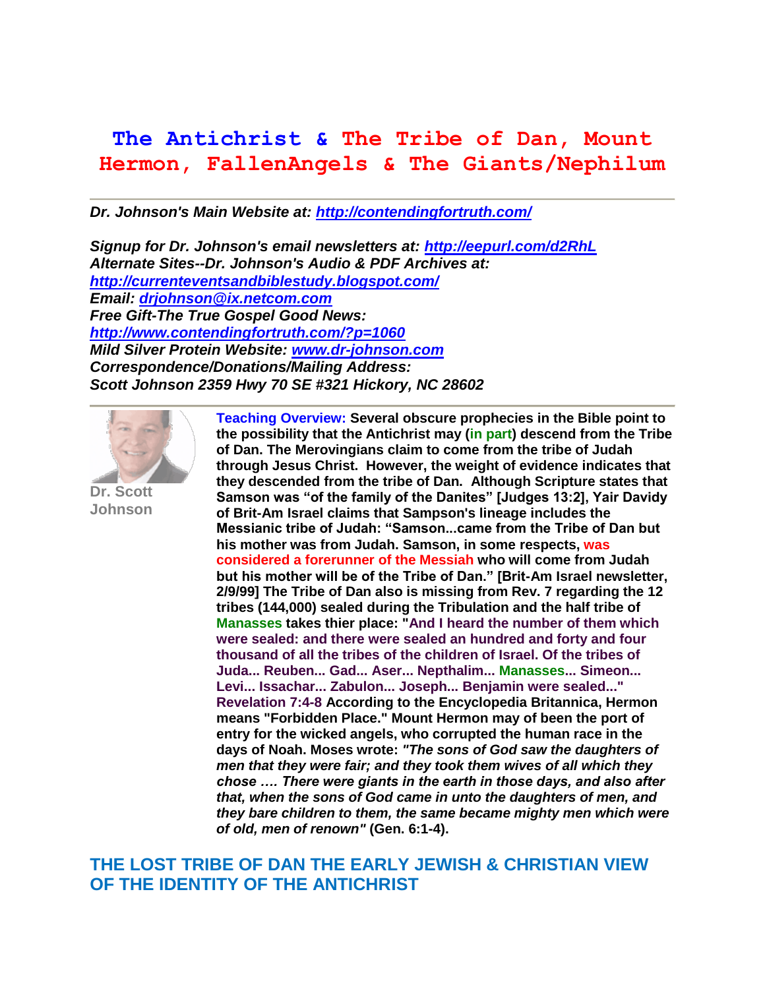# **The Antichrist & The Tribe of Dan, Mount Hermon, FallenAngels & The Giants/Nephilum**

*Dr. Johnson's Main Website at:<http://contendingfortruth.com/>*

*Signup for Dr. Johnson's email newsletters at:<http://eepurl.com/d2RhL> Alternate Sites--Dr. Johnson's Audio & PDF Archives at: <http://currenteventsandbiblestudy.blogspot.com/> Email: [drjohnson@ix.netcom.com](mailto:drjohnson@ix.netcom.com) Free Gift-The True Gospel Good News: <http://www.contendingfortruth.com/?p=1060> Mild Silver Protein Website: [www.dr-johnson.com](http://www.dr-johnson.com/) Correspondence/Donations/Mailing Address: Scott Johnson 2359 Hwy 70 SE #321 Hickory, NC 28602*



**Dr. Scott Johnson**

**Teaching Overview: Several obscure prophecies in the Bible point to the possibility that the Antichrist may (in part) descend from the Tribe of Dan. The Merovingians claim to come from the tribe of Judah through Jesus Christ. However, the weight of evidence indicates that they descended from the tribe of Dan. Although Scripture states that Samson was "of the family of the Danites" [Judges 13:2], Yair Davidy of Brit-Am Israel claims that Sampson's lineage includes the Messianic tribe of Judah: "Samson...came from the Tribe of Dan but his mother was from Judah. Samson, in some respects, was considered a forerunner of the Messiah who will come from Judah but his mother will be of the Tribe of Dan." [Brit-Am Israel newsletter, 2/9/99] The Tribe of Dan also is missing from Rev. 7 regarding the 12 tribes (144,000) sealed during the Tribulation and the half tribe of Manasses takes thier place: "And I heard the number of them which were sealed: and there were sealed an hundred and forty and four thousand of all the tribes of the children of Israel. Of the tribes of Juda... Reuben... Gad... Aser... Nepthalim... Manasses... Simeon... Levi... Issachar... Zabulon... Joseph... Benjamin were sealed..." Revelation 7:4-8 According to the Encyclopedia Britannica, Hermon means "Forbidden Place." Mount Hermon may of been the port of entry for the wicked angels, who corrupted the human race in the days of Noah. Moses wrote:** *"The sons of God saw the daughters of men that they were fair; and they took them wives of all which they chose …. There were giants in the earth in those days, and also after that, when the sons of God came in unto the daughters of men, and they bare children to them, the same became mighty men which were of old, men of renown"* **(Gen. 6:1-4).** 

### **THE LOST TRIBE OF DAN THE EARLY JEWISH & CHRISTIAN VIEW OF THE IDENTITY OF THE ANTICHRIST**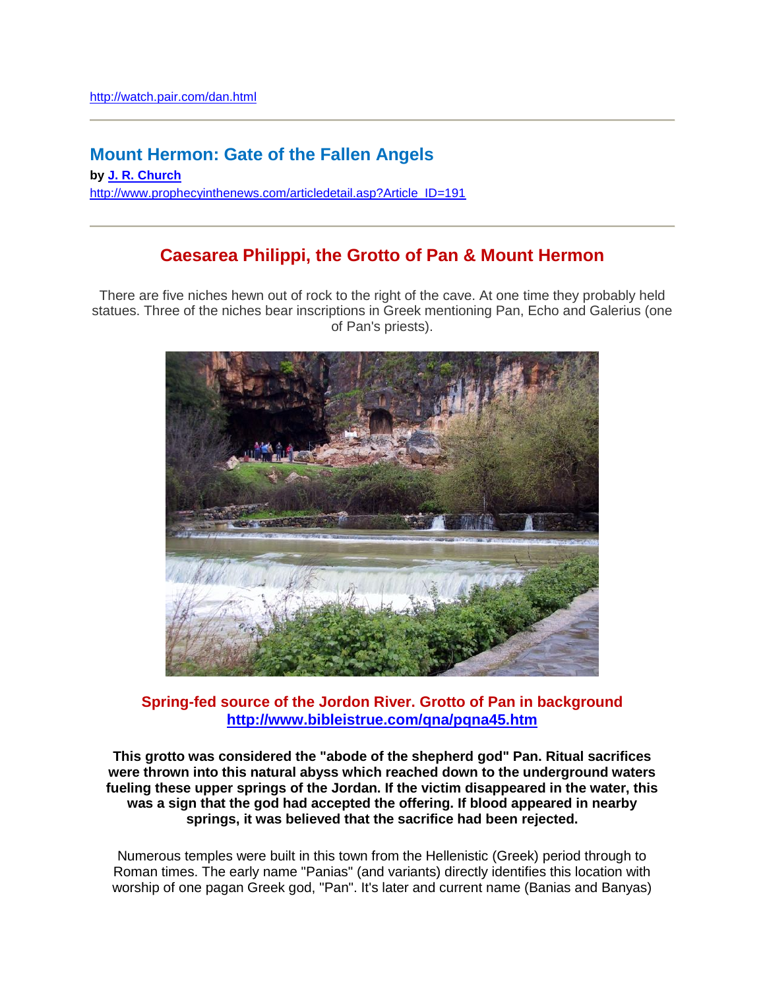## **Mount Hermon: Gate of the Fallen Angels**

**by [J. R. Church](http://www.prophecyinthenews.com/authorbio.asp?Author_ID=5)** [http://www.prophecyinthenews.com/articledetail.asp?Article\\_ID=191](http://www.prophecyinthenews.com/articledetail.asp?Article_ID=191)

### **Caesarea Philippi, the Grotto of Pan & Mount Hermon**

There are five niches hewn out of rock to the right of the cave. At one time they probably held statues. Three of the niches bear inscriptions in Greek mentioning Pan, Echo and Galerius (one of Pan's priests).



#### **Spring-fed source of the Jordon River. Grotto of Pan in background <http://www.bibleistrue.com/qna/pqna45.htm>**

**This grotto was considered the "abode of the shepherd god" Pan. Ritual sacrifices were thrown into this natural abyss which reached down to the underground waters fueling these upper springs of the Jordan. If the victim disappeared in the water, this was a sign that the god had accepted the offering. If blood appeared in nearby springs, it was believed that the sacrifice had been rejected.**

Numerous temples were built in this town from the Hellenistic (Greek) period through to Roman times. The early name "Panias" (and variants) directly identifies this location with worship of one pagan Greek god, "Pan". It's later and current name (Banias and Banyas)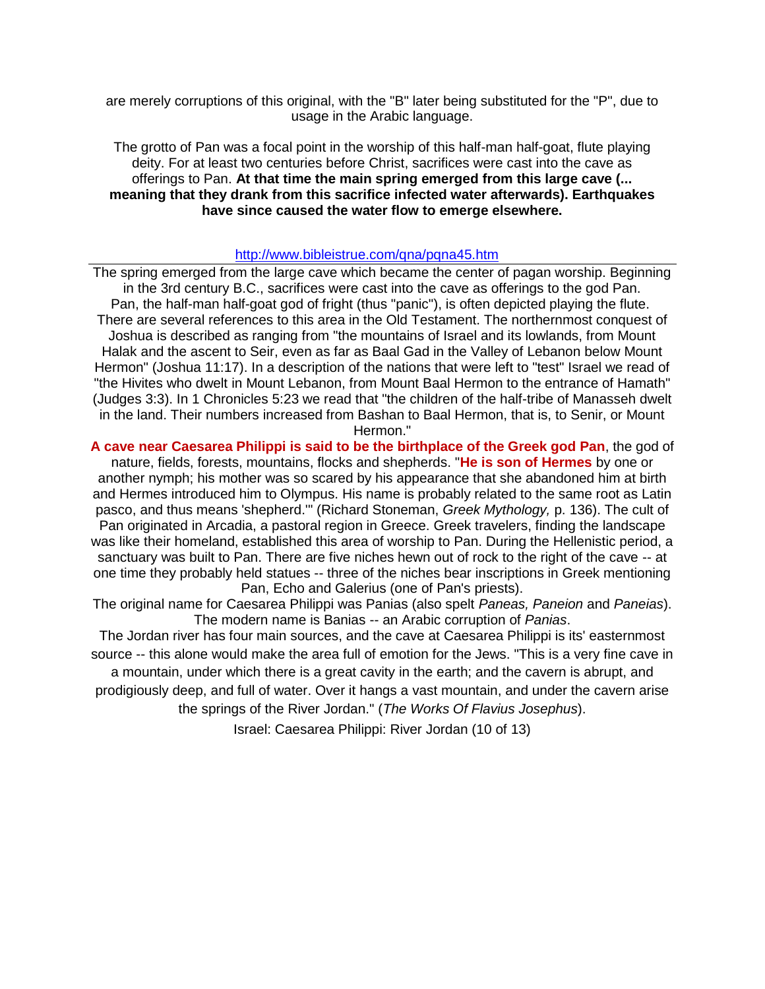are merely corruptions of this original, with the "B" later being substituted for the "P", due to usage in the Arabic language.

The grotto of Pan was a focal point in the worship of this half-man half-goat, flute playing deity. For at least two centuries before Christ, sacrifices were cast into the cave as offerings to Pan. **At that time the main spring emerged from this large cave (... meaning that they drank from this sacrifice infected water afterwards). Earthquakes have since caused the water flow to emerge elsewhere.**

#### <http://www.bibleistrue.com/qna/pqna45.htm>

The spring emerged from the large cave which became the center of pagan worship. Beginning in the 3rd century B.C., sacrifices were cast into the cave as offerings to the god Pan. Pan, the half-man half-goat god of fright (thus "panic"), is often depicted playing the flute. There are several references to this area in the Old Testament. The northernmost conquest of Joshua is described as ranging from "the mountains of Israel and its lowlands, from Mount Halak and the ascent to Seir, even as far as Baal Gad in the Valley of Lebanon below Mount Hermon" (Joshua 11:17). In a description of the nations that were left to "test" Israel we read of "the Hivites who dwelt in Mount Lebanon, from Mount Baal Hermon to the entrance of Hamath" (Judges 3:3). In 1 Chronicles 5:23 we read that "the children of the half-tribe of Manasseh dwelt in the land. Their numbers increased from Bashan to Baal Hermon, that is, to Senir, or Mount Hermon."

**A cave near Caesarea Philippi is said to be the birthplace of the Greek god Pan**, the god of nature, fields, forests, mountains, flocks and shepherds. "**He is son of Hermes** by one or another nymph; his mother was so scared by his appearance that she abandoned him at birth and Hermes introduced him to Olympus. His name is probably related to the same root as Latin pasco, and thus means 'shepherd.'" (Richard Stoneman, *Greek Mythology,* p. 136). The cult of Pan originated in Arcadia, a pastoral region in Greece. Greek travelers, finding the landscape was like their homeland, established this area of worship to Pan. During the Hellenistic period, a sanctuary was built to Pan. There are five niches hewn out of rock to the right of the cave -- at one time they probably held statues -- three of the niches bear inscriptions in Greek mentioning Pan, Echo and Galerius (one of Pan's priests).

The original name for Caesarea Philippi was Panias (also spelt *Paneas, Paneion* and *Paneias*). The modern name is Banias -- an Arabic corruption of *Panias*.

The Jordan river has four main sources, and the cave at Caesarea Philippi is its' easternmost source -- this alone would make the area full of emotion for the Jews. "This is a very fine cave in

a mountain, under which there is a great cavity in the earth; and the cavern is abrupt, and prodigiously deep, and full of water. Over it hangs a vast mountain, and under the cavern arise the springs of the River Jordan." (*The Works Of Flavius Josephus*).

Israel: Caesarea Philippi: River Jordan (10 of 13)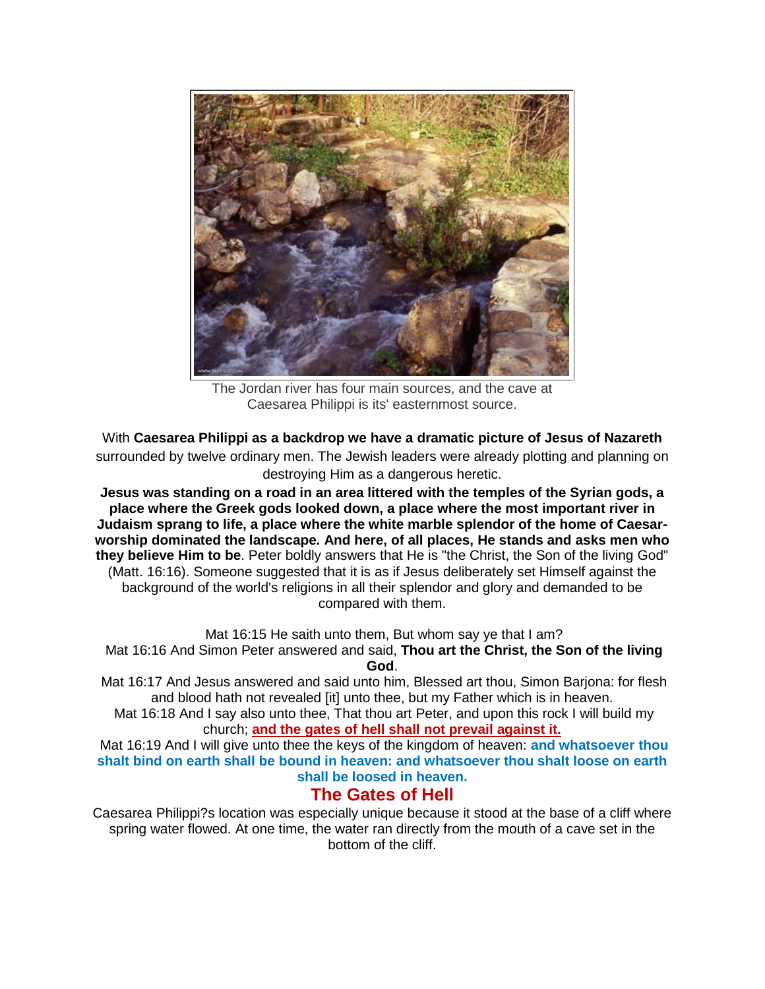

The Jordan river has four main sources, and the cave at Caesarea Philippi is its' easternmost source.

With **Caesarea Philippi as a backdrop we have a dramatic picture of Jesus of Nazareth** surrounded by twelve ordinary men. The Jewish leaders were already plotting and planning on destroying Him as a dangerous heretic.

**Jesus was standing on a road in an area littered with the temples of the Syrian gods, a place where the Greek gods looked down, a place where the most important river in Judaism sprang to life, a place where the white marble splendor of the home of Caesarworship dominated the landscape. And here, of all places, He stands and asks men who they believe Him to be**. Peter boldly answers that He is "the Christ, the Son of the living God" (Matt. 16:16). Someone suggested that it is as if Jesus deliberately set Himself against the background of the world's religions in all their splendor and glory and demanded to be compared with them.

Mat 16:15 He saith unto them, But whom say ye that I am?

Mat 16:16 And Simon Peter answered and said, **Thou art the Christ, the Son of the living God**.

Mat 16:17 And Jesus answered and said unto him, Blessed art thou, Simon Barjona: for flesh and blood hath not revealed [it] unto thee, but my Father which is in heaven.

Mat 16:18 And I say also unto thee, That thou art Peter, and upon this rock I will build my church; **and the gates of hell shall not prevail against it.**

Mat 16:19 And I will give unto thee the keys of the kingdom of heaven: **and whatsoever thou shalt bind on earth shall be bound in heaven: and whatsoever thou shalt loose on earth shall be loosed in heaven.**

### **The Gates of Hell**

Caesarea Philippi?s location was especially unique because it stood at the base of a cliff where spring water flowed. At one time, the water ran directly from the mouth of a cave set in the bottom of the cliff.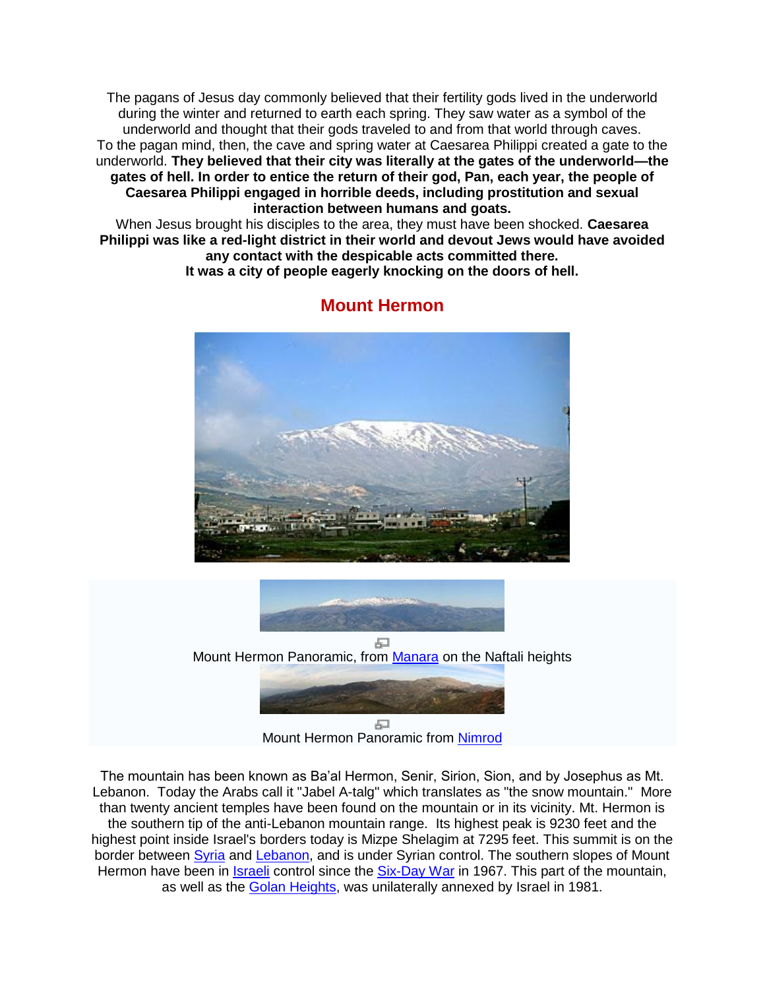The pagans of Jesus day commonly believed that their fertility gods lived in the underworld during the winter and returned to earth each spring. They saw water as a symbol of the underworld and thought that their gods traveled to and from that world through caves. To the pagan mind, then, the cave and spring water at Caesarea Philippi created a gate to the underworld. **They believed that their city was literally at the gates of the underworld—the gates of hell. In order to entice the return of their god, Pan, each year, the people of Caesarea Philippi engaged in horrible deeds, including prostitution and sexual interaction between humans and goats.** 

When Jesus brought his disciples to the area, they must have been shocked. **Caesarea Philippi was like a red-light district in their world and devout Jews would have avoided any contact with the despicable acts committed there.** 

**It was a city of people eagerly knocking on the doors of hell.**



### **Mount Hermon**



모 Mount Hermon Panoramic, from [Manara](http://en.wikipedia.org/wiki/Manara,_Israel) on the Naftali heights



Mount Hermon Panoramic from [Nimrod](http://en.wikipedia.org/wiki/Nimrod_(moshav))

The mountain has been known as Ba'al Hermon, Senir, Sirion, Sion, and by Josephus as Mt. Lebanon. Today the Arabs call it "Jabel A-talg" which translates as "the snow mountain." More than twenty ancient temples have been found on the mountain or in its vicinity. Mt. Hermon is the southern tip of the anti-Lebanon mountain range. Its highest peak is 9230 feet and the highest point inside Israel's borders today is Mizpe Shelagim at 7295 feet. This summit is on the border between [Syria](http://en.wikipedia.org/wiki/Syria) and [Lebanon,](http://en.wikipedia.org/wiki/Lebanon) and is under Syrian control. The southern slopes of Mount Hermon have been in *Israeli* control since the **Six-Day War** in 1967. This part of the mountain, as well as the [Golan Heights,](http://en.wikipedia.org/wiki/Golan_Heights) was unilaterally annexed by Israel in 1981.